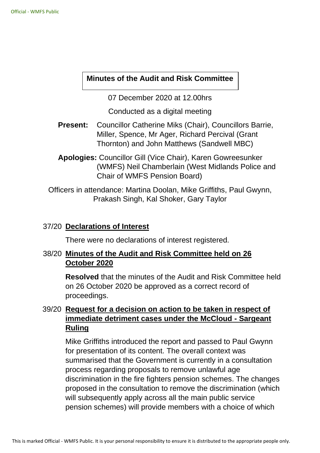# **Minutes of the Audit and Risk Committee**

07 December 2020 at 12.00hrs

Conducted as a digital meeting

- **Present:** Councillor Catherine Miks (Chair), Councillors Barrie, Miller, Spence, Mr Ager, Richard Percival (Grant Thornton) and John Matthews (Sandwell MBC)
- **Apologies:** Councillor Gill (Vice Chair), Karen Gowreesunker (WMFS) Neil Chamberlain (West Midlands Police and Chair of WMFS Pension Board)

Officers in attendance: Martina Doolan, Mike Griffiths, Paul Gwynn, Prakash Singh, Kal Shoker, Gary Taylor

### 37/20 **Declarations of Interest**

There were no declarations of interest registered.

# 38/20 **Minutes of the Audit and Risk Committee held on 26 October 2020**

**Resolved** that the minutes of the Audit and Risk Committee held on 26 October 2020 be approved as a correct record of proceedings.

# 39/20 **Request for a decision on action to be taken in respect of immediate detriment cases under the McCloud - Sargeant Ruling**

Mike Griffiths introduced the report and passed to Paul Gwynn for presentation of its content. The overall context was summarised that the Government is currently in a consultation process regarding proposals to remove unlawful age discrimination in the fire fighters pension schemes. The changes proposed in the consultation to remove the discrimination (which will subsequently apply across all the main public service pension schemes) will provide members with a choice of which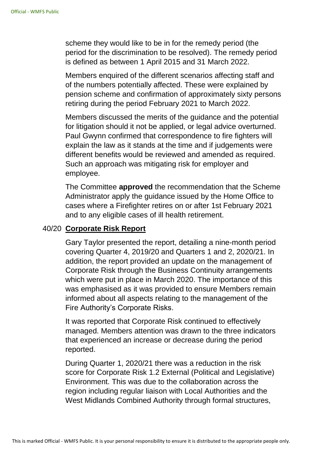scheme they would like to be in for the remedy period (the period for the discrimination to be resolved). The remedy period is defined as between 1 April 2015 and 31 March 2022.

Members enquired of the different scenarios affecting staff and of the numbers potentially affected. These were explained by pension scheme and confirmation of approximately sixty persons retiring during the period February 2021 to March 2022.

Members discussed the merits of the guidance and the potential for litigation should it not be applied, or legal advice overturned. Paul Gwynn confirmed that correspondence to fire fighters will explain the law as it stands at the time and if judgements were different benefits would be reviewed and amended as required. Such an approach was mitigating risk for employer and employee.

The Committee **approved** the recommendation that the Scheme Administrator apply the guidance issued by the Home Office to cases where a Firefighter retires on or after 1st February 2021 and to any eligible cases of ill health retirement.

# 40/20 **Corporate Risk Report**

Gary Taylor presented the report, detailing a nine-month period covering Quarter 4, 2019/20 and Quarters 1 and 2, 2020/21. In addition, the report provided an update on the management of Corporate Risk through the Business Continuity arrangements which were put in place in March 2020. The importance of this was emphasised as it was provided to ensure Members remain informed about all aspects relating to the management of the Fire Authority's Corporate Risks.

It was reported that Corporate Risk continued to effectively managed. Members attention was drawn to the three indicators that experienced an increase or decrease during the period reported.

During Quarter 1, 2020/21 there was a reduction in the risk score for Corporate Risk 1.2 External (Political and Legislative) Environment. This was due to the collaboration across the region including regular liaison with Local Authorities and the West Midlands Combined Authority through formal structures,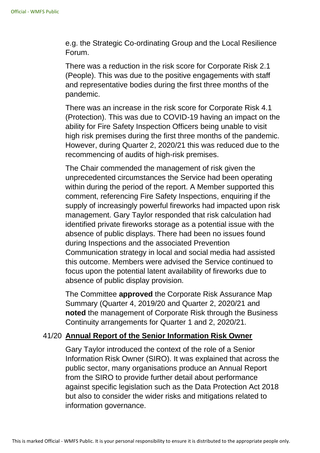e.g. the Strategic Co-ordinating Group and the Local Resilience Forum.

There was a reduction in the risk score for Corporate Risk 2.1 (People). This was due to the positive engagements with staff and representative bodies during the first three months of the pandemic.

There was an increase in the risk score for Corporate Risk 4.1 (Protection). This was due to COVID-19 having an impact on the ability for Fire Safety Inspection Officers being unable to visit high risk premises during the first three months of the pandemic. However, during Quarter 2, 2020/21 this was reduced due to the recommencing of audits of high-risk premises.

The Chair commended the management of risk given the unprecedented circumstances the Service had been operating within during the period of the report. A Member supported this comment, referencing Fire Safety Inspections, enquiring if the supply of increasingly powerful fireworks had impacted upon risk management. Gary Taylor responded that risk calculation had identified private fireworks storage as a potential issue with the absence of public displays. There had been no issues found during Inspections and the associated Prevention Communication strategy in local and social media had assisted this outcome. Members were advised the Service continued to focus upon the potential latent availability of fireworks due to absence of public display provision.

The Committee **approved** the Corporate Risk Assurance Map Summary (Quarter 4, 2019/20 and Quarter 2, 2020/21 and **noted** the management of Corporate Risk through the Business Continuity arrangements for Quarter 1 and 2, 2020/21.

#### 41/20 **Annual Report of the Senior Information Risk Owner**

Gary Taylor introduced the context of the role of a Senior Information Risk Owner (SIRO). It was explained that across the public sector, many organisations produce an Annual Report from the SIRO to provide further detail about performance against specific legislation such as the Data Protection Act 2018 but also to consider the wider risks and mitigations related to information governance.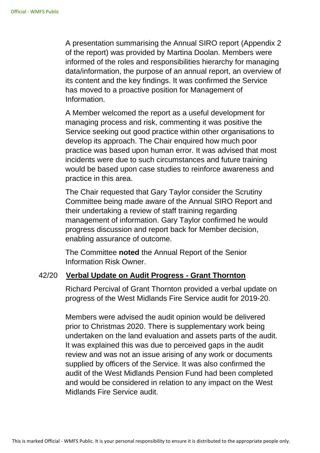A presentation summarising the Annual SIRO report (Appendix 2 of the report) was provided by Martina Doolan. Members were informed of the roles and responsibilities hierarchy for managing data/information, the purpose of an annual report, an overview of its content and the key findings. It was confirmed the Service has moved to a proactive position for Management of Information.

A Member welcomed the report as a useful development for managing process and risk, commenting it was positive the Service seeking out good practice within other organisations to develop its approach. The Chair enquired how much poor practice was based upon human error. It was advised that most incidents were due to such circumstances and future training would be based upon case studies to reinforce awareness and practice in this area.

The Chair requested that Gary Taylor consider the Scrutiny Committee being made aware of the Annual SIRO Report and their undertaking a review of staff training regarding management of information. Gary Taylor confirmed he would progress discussion and report back for Member decision, enabling assurance of outcome.

The Committee **noted** the Annual Report of the Senior Information Risk Owner.

#### 42/20 **Verbal Update on Audit Progress - Grant Thornton**

Richard Percival of Grant Thornton provided a verbal update on progress of the West Midlands Fire Service audit for 2019-20.

Members were advised the audit opinion would be delivered prior to Christmas 2020. There is supplementary work being undertaken on the land evaluation and assets parts of the audit. It was explained this was due to perceived gaps in the audit review and was not an issue arising of any work or documents supplied by officers of the Service. It was also confirmed the audit of the West Midlands Pension Fund had been completed and would be considered in relation to any impact on the West Midlands Fire Service audit.